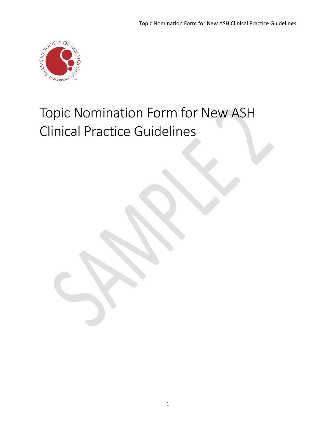

# Topic Nomination Form for New ASH Clinical Practice Guidelines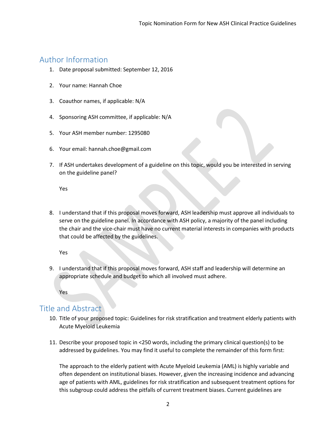## Author Information

- 1. Date proposal submitted: September 12, 2016
- 2. Your name: Hannah Choe
- 3. Coauthor names, if applicable: N/A
- 4. Sponsoring ASH committee, if applicable: N/A
- 5. Your ASH member number: 1295080
- 6. Your email: hannah.choe@gmail.com
- 7. If ASH undertakes development of a guideline on this topic, would you be interested in serving on the guideline panel?

Yes

8. I understand that if this proposal moves forward, ASH leadership must approve all individuals to serve on the guideline panel. In accordance with ASH policy, a majority of the panel including the chair and the vice-chair must have no current material interests in companies with products that could be affected by the guidelines.

Yes

9. I understand that if this proposal moves forward, ASH staff and leadership will determine an appropriate schedule and budget to which all involved must adhere.

Yes

## Title and Abstract

- 10. Title of your proposed topic: Guidelines for risk stratification and treatment elderly patients with Acute Myeloid Leukemia
- 11. Describe your proposed topic in <250 words, including the primary clinical question(s) to be addressed by guidelines. You may find it useful to complete the remainder of this form first:

The approach to the elderly patient with Acute Myeloid Leukemia (AML) is highly variable and often dependent on institutional biases. However, given the increasing incidence and advancing age of patients with AML, guidelines for risk stratification and subsequent treatment options for this subgroup could address the pitfalls of current treatment biases. Current guidelines are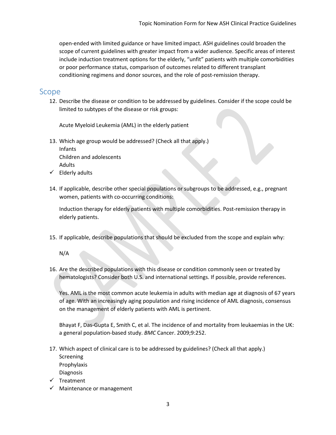open-ended with limited guidance or have limited impact. ASH guidelines could broaden the scope of current guidelines with greater impact from a wider audience. Specific areas of interest include induction treatment options for the elderly, "unfit" patients with multiple comorbidities or poor performance status, comparison of outcomes related to different transplant conditioning regimens and donor sources, and the role of post-remission therapy.

### Scope

12. Describe the disease or condition to be addressed by guidelines. Consider if the scope could be limited to subtypes of the disease or risk groups:

Acute Myeloid Leukemia (AML) in the elderly patient

- 13. Which age group would be addressed? (Check all that apply.) Infants Children and adolescents Adults
- $\checkmark$  Elderly adults
- 14. If applicable, describe other special populations or subgroups to be addressed, e.g., pregnant women, patients with co-occurring conditions:

Induction therapy for elderly patients with multiple comorbidities. Post-remission therapy in elderly patients.

15. If applicable, describe populations that should be excluded from the scope and explain why:

N/A

16. Are the described populations with this disease or condition commonly seen or treated by hematologists? Consider both U.S. and international settings. If possible, provide references.

Yes. AML is the most common acute leukemia in adults with median age at diagnosis of 67 years of age. With an increasingly aging population and rising incidence of AML diagnosis, consensus on the management of elderly patients with AML is pertinent.

Bhayat F, Das-Gupta E, Smith C, et al. The incidence of and mortality from leukaemias in the UK: a general population-based study. *BMC* Cancer. 2009;9:252.

17. Which aspect of clinical care is to be addressed by guidelines? (Check all that apply.) Screening Prophylaxis Diagnosis

- $\checkmark$  Treatment
- $\checkmark$  Maintenance or management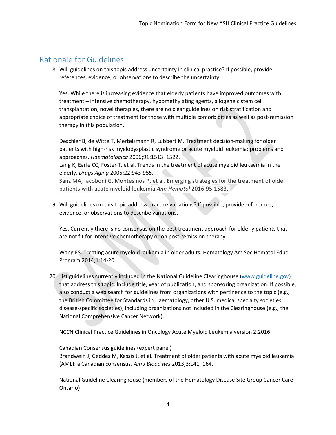## Rationale for Guidelines

18. Will guidelines on this topic address uncertainty in clinical practice? If possible, provide references, evidence, or observations to describe the uncertainty.

Yes. While there is increasing evidence that elderly patients have improved outcomes with treatment – intensive chemotherapy, hypomethylating agents, allogeneic stem cell transplantation, novel therapies, there are no clear guidelines on risk stratification and appropriate choice of treatment for those with multiple comorbidities as well as post-remission therapy in this population.

Deschler B, de Witte T, Mertelsmann R, Lubbert M. Treatment decision-making for older patients with high-risk myelodysplastic syndrome or acute myeloid leukemia: problems and approaches. *Haematologica* 2006;91:1513–1522.

Lang K, Earle CC, Foster T, et al. Trends in the treatment of acute myeloid leukaemia in the elderly. *Drugs Aging* 2005;22:943-955.

Sanz MA, Iacoboni G, Montesinos P, et al. Emerging strategies for the treatment of older patients with acute myeloid leukemia *Ann Hematol* 2016;95:1583.

19. Will guidelines on this topic address practice variations? If possible, provide references, evidence, or observations to describe variations.

Yes. Currently there is no consensus on the best treatment approach for elderly patients that are not fit for intensive chemotherapy or on post-remission therapy.

Wang ES. Treating acute myeloid leukemia in older adults. Hematology Am Soc Hematol Educ Program 2014;1:14-20.

20. List guidelines currently included in the National Guideline Clearinghouse [\(www.guideline.gov\)](http://www.guideline.gov/) that address this topic. Include title, year of publication, and sponsoring organization. If possible, also conduct a web search for guidelines from organizations with pertinence to the topic (e.g., the British Committee for Standards in Haematology, other U.S. medical specialty societies, disease-specific societies), including organizations not included in the Clearinghouse (e.g., the National Comprehensive Cancer Network).

NCCN Clinical Practice Guidelines in Oncology Acute Myeloid Leukemia version 2.2016

Canadian Consensus guidelines (expert panel) Brandwein J, Geddes M, Kassis J, et al. Treatment of older patients with acute myeloid leukemia (AML): a Canadian consensus. *Am J Blood Res* 2013;3:141–164.

National Guideline Clearinghouse (members of the Hematology Disease Site Group Cancer Care Ontario)